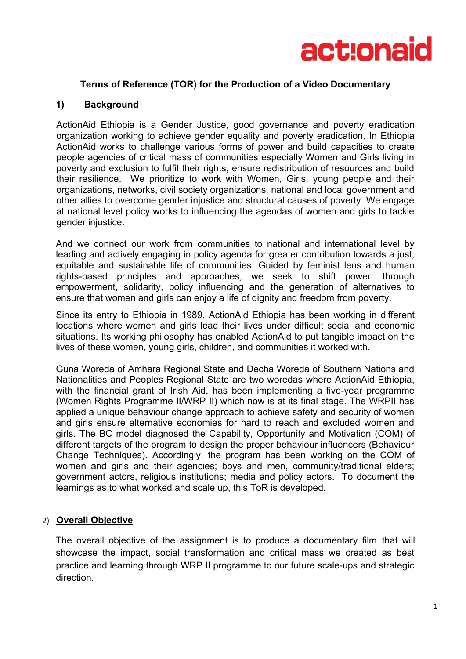

#### **Terms of Reference (TOR) for the Production of a Video Documentary**

#### **1) Background**

ActionAid Ethiopia is a Gender Justice, good governance and poverty eradication organization working to achieve gender equality and poverty eradication. In Ethiopia ActionAid works to challenge various forms of power and build capacities to create people agencies of critical mass of communities especially Women and Girls living in poverty and exclusion to fulfil their rights, ensure redistribution of resources and build their resilience. We prioritize to work with Women, Girls, young people and their organizations, networks, civil society organizations, national and local government and other allies to overcome gender injustice and structural causes of poverty. We engage at national level policy works to influencing the agendas of women and girls to tackle gender injustice.

And we connect our work from communities to national and international level by leading and actively engaging in policy agenda for greater contribution towards a just, equitable and sustainable life of communities. Guided by feminist lens and human rights-based principles and approaches, we seek to shift power, through empowerment, solidarity, policy influencing and the generation of alternatives to ensure that women and girls can enjoy a life of dignity and freedom from poverty.

Since its entry to Ethiopia in 1989, ActionAid Ethiopia has been working in different locations where women and girls lead their lives under difficult social and economic situations. Its working philosophy has enabled ActionAid to put tangible impact on the lives of these women, young girls, children, and communities it worked with.

Guna Woreda of Amhara Regional State and Decha Woreda of Southern Nations and Nationalities and Peoples Regional State are two woredas where ActionAid Ethiopia, with the financial grant of Irish Aid, has been implementing a five-year programme (Women Rights Programme II/WRP II) which now is at its final stage. The WRPII has applied a unique behaviour change approach to achieve safety and security of women and girls ensure alternative economies for hard to reach and excluded women and girls. The BC model diagnosed the Capability, Opportunity and Motivation (COM) of different targets of the program to design the proper behaviour influencers (Behaviour Change Techniques). Accordingly, the program has been working on the COM of women and girls and their agencies; boys and men, community/traditional elders; government actors, religious institutions; media and policy actors. To document the learnings as to what worked and scale up, this ToR is developed.

#### 2) **Overall Objective**

The overall objective of the assignment is to produce a documentary film that will showcase the impact, social transformation and critical mass we created as best practice and learning through WRP II programme to our future scale-ups and strategic direction.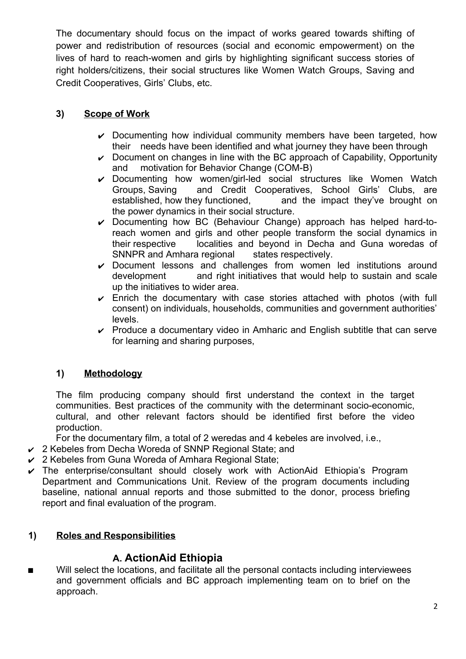The documentary should focus on the impact of works geared towards shifting of power and redistribution of resources (social and economic empowerment) on the lives of hard to reach-women and girls by highlighting significant success stories of right holders/citizens, their social structures like Women Watch Groups, Saving and Credit Cooperatives, Girls' Clubs, etc.

## **3) Scope of Work**

- $\vee$  Documenting how individual community members have been targeted, how their needs have been identified and what journey they have been through
- $\triangleright$  Document on changes in line with the BC approach of Capability, Opportunity and motivation for Behavior Change (COM-B)
- ✔ Documenting how women/girl-led social structures like Women Watch<br>Groups Saving and Credit Cooperatives, School Girls' Clubs, are and Credit Cooperatives, School Girls' Clubs, are established, how they functioned, and the impact they've brought on the power dynamics in their social structure.
- $\vee$  Documenting how BC (Behaviour Change) approach has helped hard-toreach women and girls and other people transform the social dynamics in their respective localities and beyond in Decha and Guna woredas of SNNPR and Amhara regional states respectively.
- $\triangleright$  Document lessons and challenges from women led institutions around development and right initiatives that would help to sustain and scale up the initiatives to wider area.
- $\triangleright$  Enrich the documentary with case stories attached with photos (with full consent) on individuals, households, communities and government authorities' levels.
- $\triangleright$  Produce a documentary video in Amharic and English subtitle that can serve for learning and sharing purposes,

## **1) Methodology**

The film producing company should first understand the context in the target communities. Best practices of the community with the determinant socio-economic, cultural, and other relevant factors should be identified first before the video production.

For the documentary film, a total of 2 weredas and 4 kebeles are involved, i.e.,

- $\vee$  2 Kebeles from Decha Woreda of SNNP Regional State; and
- $\vee$  2 Kebeles from Guna Woreda of Amhara Regional State;
- $\triangledown$  The enterprise/consultant should closely work with ActionAid Ethiopia's Program Department and Communications Unit. Review of the program documents including baseline, national annual reports and those submitted to the donor, process briefing report and final evaluation of the program.

## **1) Roles and Responsibilities**

# **A. ActionAid Ethiopia**

■ Will select the locations, and facilitate all the personal contacts including interviewees and government officials and BC approach implementing team on to brief on the approach.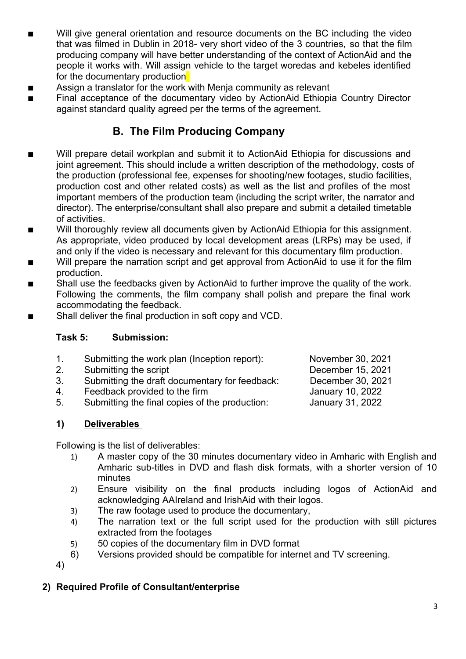- Will give general orientation and resource documents on the BC including the video that was filmed in Dublin in 2018- very short video of the 3 countries, so that the film producing company will have better understanding of the context of ActionAid and the people it works with. Will assign vehicle to the target woredas and kebeles identified for the documentary production
- **Assign a translator for the work with Menja community as relevant**
- Final acceptance of the documentary video by ActionAid Ethiopia Country Director against standard quality agreed per the terms of the agreement.

# **B. The Film Producing Company**

- Will prepare detail workplan and submit it to ActionAid Ethiopia for discussions and joint agreement. This should include a written description of the methodology, costs of the production (professional fee, expenses for shooting/new footages, studio facilities, production cost and other related costs) as well as the list and profiles of the most important members of the production team (including the script writer, the narrator and director). The enterprise/consultant shall also prepare and submit a detailed timetable of activities.
- Will thoroughly review all documents given by ActionAid Ethiopia for this assignment. As appropriate, video produced by local development areas (LRPs) may be used, if and only if the video is necessary and relevant for this documentary film production.
- Will prepare the narration script and get approval from ActionAid to use it for the film production.
- Shall use the feedbacks given by ActionAid to further improve the quality of the work. Following the comments, the film company shall polish and prepare the final work accommodating the feedback.
- Shall deliver the final production in soft copy and VCD.

## **Task 5: Submission:**

- 1. Submitting the work plan (Inception report): November 30, 2021
- 2. Submitting the script December 15, 2021
- 3. Submitting the draft documentary for feedback: December 30, 2021
- 4. Feedback provided to the firm Same Manuary 10, 2022
- 5. Submitting the final copies of the production: January 31, 2022

**1) Deliverables** 

Following is the list of deliverables:

- 1) A master copy of the 30 minutes documentary video in Amharic with English and Amharic sub-titles in DVD and flash disk formats, with a shorter version of 10 minutes
- 2) Ensure visibility on the final products including logos of ActionAid and acknowledging AAIreland and IrishAid with their logos.
- 3) The raw footage used to produce the documentary,
- 4) The narration text or the full script used for the production with still pictures extracted from the footages
- 5) 50 copies of the documentary film in DVD format
- 6) Versions provided should be compatible for internet and TV screening.

4)

## **2) Required Profile of Consultant/enterprise**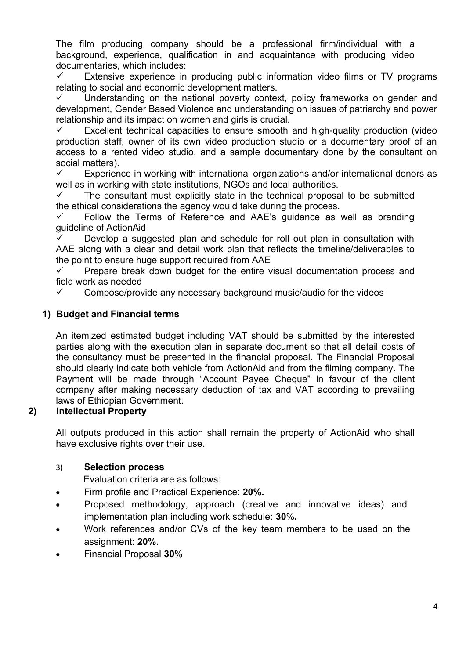The film producing company should be a professional firm/individual with a background, experience, qualification in and acquaintance with producing video documentaries, which includes:

 $\checkmark$  Extensive experience in producing public information video films or TV programs relating to social and economic development matters.

 $\checkmark$  Understanding on the national poverty context, policy frameworks on gender and development, Gender Based Violence and understanding on issues of patriarchy and power relationship and its impact on women and girls is crucial.

 Excellent technical capacities to ensure smooth and high-quality production (video production staff, owner of its own video production studio or a documentary proof of an access to a rented video studio, and a sample documentary done by the consultant on social matters).

 $\checkmark$  Experience in working with international organizations and/or international donors as well as in working with state institutions. NGOs and local authorities.

 $\checkmark$  The consultant must explicitly state in the technical proposal to be submitted the ethical considerations the agency would take during the process.

 $\checkmark$  Follow the Terms of Reference and AAE's guidance as well as branding guideline of ActionAid

 Develop a suggested plan and schedule for roll out plan in consultation with AAE along with a clear and detail work plan that reflects the timeline/deliverables to the point to ensure huge support required from AAE

 Prepare break down budget for the entire visual documentation process and field work as needed

 $\checkmark$  Compose/provide any necessary background music/audio for the videos

## **1) Budget and Financial terms**

An itemized estimated budget including VAT should be submitted by the interested parties along with the execution plan in separate document so that all detail costs of the consultancy must be presented in the financial proposal. The Financial Proposal should clearly indicate both vehicle from ActionAid and from the filming company. The Payment will be made through "Account Payee Cheque" in favour of the client company after making necessary deduction of tax and VAT according to prevailing laws of Ethiopian Government.

## **2) Intellectual Property**

All outputs produced in this action shall remain the property of ActionAid who shall have exclusive rights over their use.

## 3) **Selection process**

Evaluation criteria are as follows:

- Firm profile and Practical Experience: **20%.**
- Proposed methodology, approach (creative and innovative ideas) and implementation plan including work schedule: **30**%**.**
- Work references and/or CVs of the key team members to be used on the assignment: **20%**.
- Financial Proposal **30**%